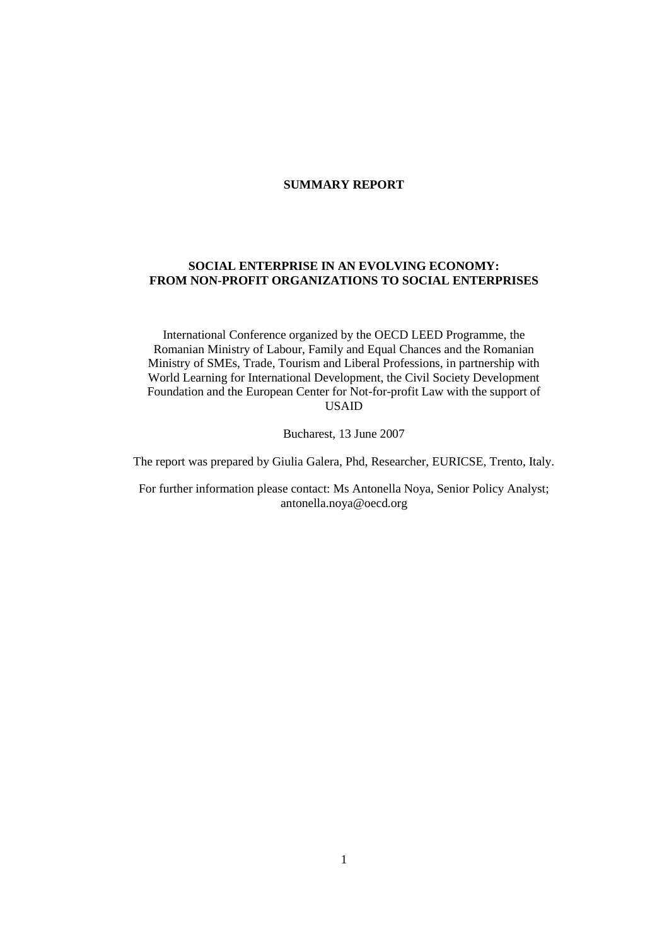### **SUMMARY REPORT**

# **SOCIAL ENTERPRISE IN AN EVOLVING ECONOMY: FROM NON-PROFIT ORGANIZATIONS TO SOCIAL ENTERPRISES**

International Conference organized by the OECD LEED Programme, the Romanian Ministry of Labour, Family and Equal Chances and the Romanian Ministry of SMEs, Trade, Tourism and Liberal Professions, in partnership with World Learning for International Development, the Civil Society Development Foundation and the European Center for Not-for-profit Law with the support of USAID

Bucharest, 13 June 2007

The report was prepared by Giulia Galera, Phd, Researcher, EURICSE, Trento, Italy.

For further information please contact: Ms Antonella Noya, Senior Policy Analyst; antonella.noya@oecd.org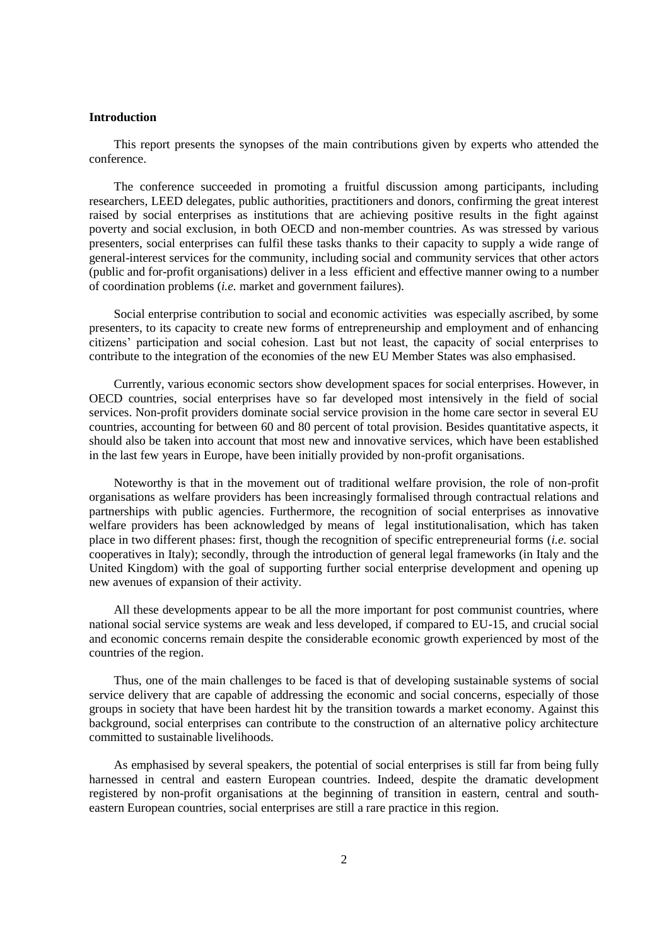## **Introduction**

This report presents the synopses of the main contributions given by experts who attended the conference.

The conference succeeded in promoting a fruitful discussion among participants, including researchers, LEED delegates, public authorities, practitioners and donors, confirming the great interest raised by social enterprises as institutions that are achieving positive results in the fight against poverty and social exclusion, in both OECD and non-member countries. As was stressed by various presenters, social enterprises can fulfil these tasks thanks to their capacity to supply a wide range of general-interest services for the community, including social and community services that other actors (public and for-profit organisations) deliver in a less efficient and effective manner owing to a number of coordination problems (*i.e.* market and government failures).

Social enterprise contribution to social and economic activities was especially ascribed, by some presenters, to its capacity to create new forms of entrepreneurship and employment and of enhancing citizens' participation and social cohesion. Last but not least, the capacity of social enterprises to contribute to the integration of the economies of the new EU Member States was also emphasised.

Currently, various economic sectors show development spaces for social enterprises. However, in OECD countries, social enterprises have so far developed most intensively in the field of social services. Non-profit providers dominate social service provision in the home care sector in several EU countries, accounting for between 60 and 80 percent of total provision. Besides quantitative aspects, it should also be taken into account that most new and innovative services, which have been established in the last few years in Europe, have been initially provided by non-profit organisations.

Noteworthy is that in the movement out of traditional welfare provision, the role of non-profit organisations as welfare providers has been increasingly formalised through contractual relations and partnerships with public agencies. Furthermore, the recognition of social enterprises as innovative welfare providers has been acknowledged by means of legal institutionalisation, which has taken place in two different phases: first, though the recognition of specific entrepreneurial forms (*i.e.* social cooperatives in Italy); secondly, through the introduction of general legal frameworks (in Italy and the United Kingdom) with the goal of supporting further social enterprise development and opening up new avenues of expansion of their activity.

All these developments appear to be all the more important for post communist countries, where national social service systems are weak and less developed, if compared to EU-15, and crucial social and economic concerns remain despite the considerable economic growth experienced by most of the countries of the region.

Thus, one of the main challenges to be faced is that of developing sustainable systems of social service delivery that are capable of addressing the economic and social concerns, especially of those groups in society that have been hardest hit by the transition towards a market economy. Against this background, social enterprises can contribute to the construction of an alternative policy architecture committed to sustainable livelihoods.

As emphasised by several speakers, the potential of social enterprises is still far from being fully harnessed in central and eastern European countries. Indeed, despite the dramatic development registered by non-profit organisations at the beginning of transition in eastern, central and southeastern European countries, social enterprises are still a rare practice in this region.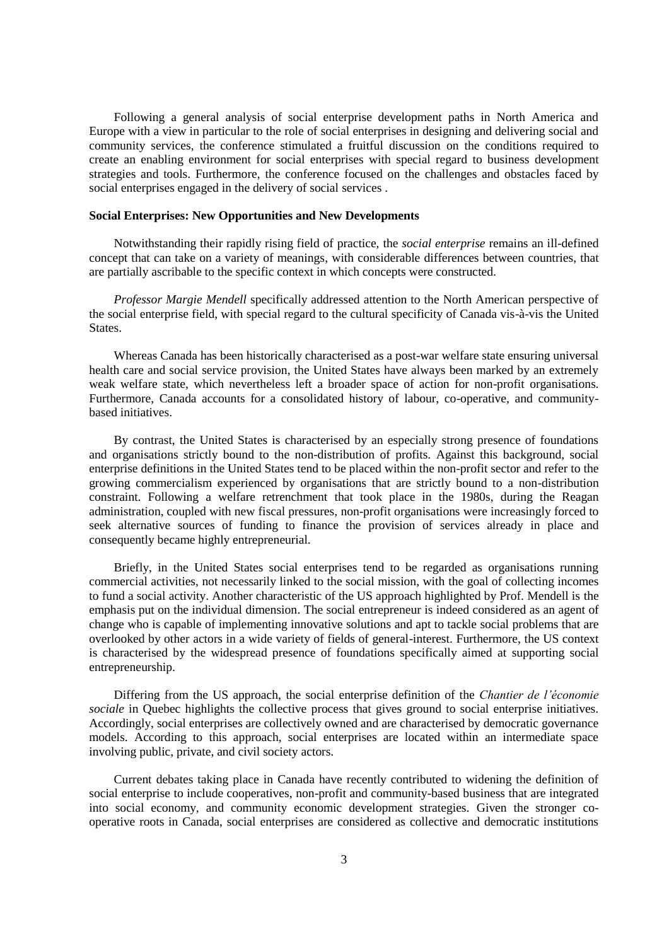Following a general analysis of social enterprise development paths in North America and Europe with a view in particular to the role of social enterprises in designing and delivering social and community services, the conference stimulated a fruitful discussion on the conditions required to create an enabling environment for social enterprises with special regard to business development strategies and tools. Furthermore, the conference focused on the challenges and obstacles faced by social enterprises engaged in the delivery of social services .

#### **Social Enterprises: New Opportunities and New Developments**

Notwithstanding their rapidly rising field of practice, the *social enterprise* remains an ill-defined concept that can take on a variety of meanings, with considerable differences between countries, that are partially ascribable to the specific context in which concepts were constructed.

*Professor Margie Mendell* specifically addressed attention to the North American perspective of the social enterprise field, with special regard to the cultural specificity of Canada vis-à-vis the United States.

Whereas Canada has been historically characterised as a post-war welfare state ensuring universal health care and social service provision, the United States have always been marked by an extremely weak welfare state, which nevertheless left a broader space of action for non-profit organisations. Furthermore, Canada accounts for a consolidated history of labour, co-operative, and communitybased initiatives.

By contrast, the United States is characterised by an especially strong presence of foundations and organisations strictly bound to the non-distribution of profits. Against this background, social enterprise definitions in the United States tend to be placed within the non-profit sector and refer to the growing commercialism experienced by organisations that are strictly bound to a non-distribution constraint. Following a welfare retrenchment that took place in the 1980s, during the Reagan administration, coupled with new fiscal pressures, non-profit organisations were increasingly forced to seek alternative sources of funding to finance the provision of services already in place and consequently became highly entrepreneurial.

Briefly, in the United States social enterprises tend to be regarded as organisations running commercial activities, not necessarily linked to the social mission, with the goal of collecting incomes to fund a social activity. Another characteristic of the US approach highlighted by Prof. Mendell is the emphasis put on the individual dimension. The social entrepreneur is indeed considered as an agent of change who is capable of implementing innovative solutions and apt to tackle social problems that are overlooked by other actors in a wide variety of fields of general-interest. Furthermore, the US context is characterised by the widespread presence of foundations specifically aimed at supporting social entrepreneurship.

Differing from the US approach, the social enterprise definition of the *Chantier de l'économie sociale* in Quebec highlights the collective process that gives ground to social enterprise initiatives. Accordingly, social enterprises are collectively owned and are characterised by democratic governance models. According to this approach, social enterprises are located within an intermediate space involving public, private, and civil society actors.

Current debates taking place in Canada have recently contributed to widening the definition of social enterprise to include cooperatives, non-profit and community-based business that are integrated into social economy, and community economic development strategies. Given the stronger cooperative roots in Canada, social enterprises are considered as collective and democratic institutions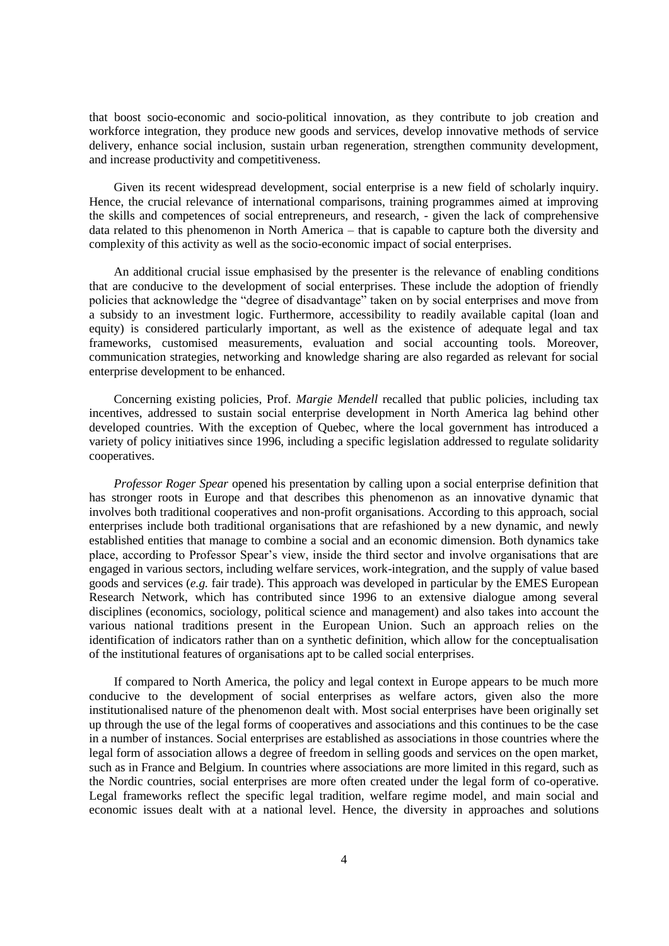that boost socio-economic and socio-political innovation, as they contribute to job creation and workforce integration, they produce new goods and services, develop innovative methods of service delivery, enhance social inclusion, sustain urban regeneration, strengthen community development, and increase productivity and competitiveness.

Given its recent widespread development, social enterprise is a new field of scholarly inquiry. Hence, the crucial relevance of international comparisons, training programmes aimed at improving the skills and competences of social entrepreneurs, and research, - given the lack of comprehensive data related to this phenomenon in North America – that is capable to capture both the diversity and complexity of this activity as well as the socio-economic impact of social enterprises.

An additional crucial issue emphasised by the presenter is the relevance of enabling conditions that are conducive to the development of social enterprises. These include the adoption of friendly policies that acknowledge the "degree of disadvantage" taken on by social enterprises and move from a subsidy to an investment logic. Furthermore, accessibility to readily available capital (loan and equity) is considered particularly important, as well as the existence of adequate legal and tax frameworks, customised measurements, evaluation and social accounting tools. Moreover, communication strategies, networking and knowledge sharing are also regarded as relevant for social enterprise development to be enhanced.

Concerning existing policies, Prof. *Margie Mendell* recalled that public policies, including tax incentives, addressed to sustain social enterprise development in North America lag behind other developed countries. With the exception of Quebec, where the local government has introduced a variety of policy initiatives since 1996, including a specific legislation addressed to regulate solidarity cooperatives.

*Professor Roger Spear* opened his presentation by calling upon a social enterprise definition that has stronger roots in Europe and that describes this phenomenon as an innovative dynamic that involves both traditional cooperatives and non-profit organisations. According to this approach, social enterprises include both traditional organisations that are refashioned by a new dynamic, and newly established entities that manage to combine a social and an economic dimension. Both dynamics take place, according to Professor Spear's view, inside the third sector and involve organisations that are engaged in various sectors, including welfare services, work-integration, and the supply of value based goods and services (*e.g.* fair trade). This approach was developed in particular by the EMES European Research Network, which has contributed since 1996 to an extensive dialogue among several disciplines (economics, sociology, political science and management) and also takes into account the various national traditions present in the European Union. Such an approach relies on the identification of indicators rather than on a synthetic definition, which allow for the conceptualisation of the institutional features of organisations apt to be called social enterprises.

If compared to North America, the policy and legal context in Europe appears to be much more conducive to the development of social enterprises as welfare actors, given also the more institutionalised nature of the phenomenon dealt with. Most social enterprises have been originally set up through the use of the legal forms of cooperatives and associations and this continues to be the case in a number of instances. Social enterprises are established as associations in those countries where the legal form of association allows a degree of freedom in selling goods and services on the open market, such as in France and Belgium. In countries where associations are more limited in this regard, such as the Nordic countries, social enterprises are more often created under the legal form of co-operative. Legal frameworks reflect the specific legal tradition, welfare regime model, and main social and economic issues dealt with at a national level. Hence, the diversity in approaches and solutions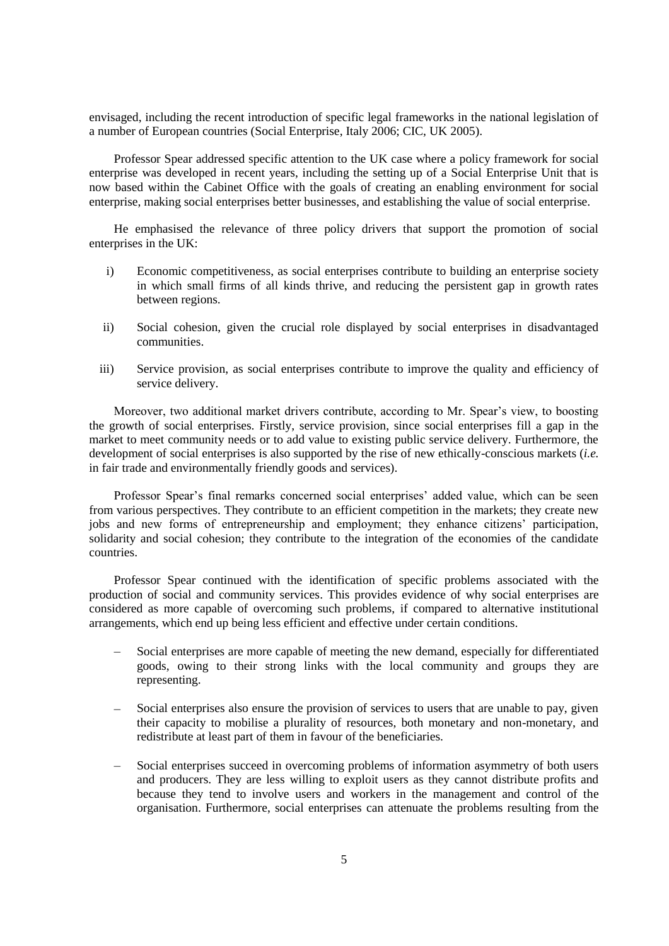envisaged, including the recent introduction of specific legal frameworks in the national legislation of a number of European countries (Social Enterprise, Italy 2006; CIC, UK 2005).

Professor Spear addressed specific attention to the UK case where a policy framework for social enterprise was developed in recent years, including the setting up of a Social Enterprise Unit that is now based within the Cabinet Office with the goals of creating an enabling environment for social enterprise, making social enterprises better businesses, and establishing the value of social enterprise.

He emphasised the relevance of three policy drivers that support the promotion of social enterprises in the UK:

- i) Economic competitiveness, as social enterprises contribute to building an enterprise society in which small firms of all kinds thrive, and reducing the persistent gap in growth rates between regions.
- ii) Social cohesion, given the crucial role displayed by social enterprises in disadvantaged communities.
- iii) Service provision, as social enterprises contribute to improve the quality and efficiency of service delivery.

Moreover, two additional market drivers contribute, according to Mr. Spear's view, to boosting the growth of social enterprises. Firstly, service provision, since social enterprises fill a gap in the market to meet community needs or to add value to existing public service delivery. Furthermore, the development of social enterprises is also supported by the rise of new ethically-conscious markets (*i.e.* in fair trade and environmentally friendly goods and services).

Professor Spear's final remarks concerned social enterprises' added value, which can be seen from various perspectives. They contribute to an efficient competition in the markets; they create new jobs and new forms of entrepreneurship and employment; they enhance citizens' participation, solidarity and social cohesion; they contribute to the integration of the economies of the candidate countries.

Professor Spear continued with the identification of specific problems associated with the production of social and community services. This provides evidence of why social enterprises are considered as more capable of overcoming such problems, if compared to alternative institutional arrangements, which end up being less efficient and effective under certain conditions.

- Social enterprises are more capable of meeting the new demand, especially for differentiated goods, owing to their strong links with the local community and groups they are representing.
- Social enterprises also ensure the provision of services to users that are unable to pay, given their capacity to mobilise a plurality of resources, both monetary and non-monetary, and redistribute at least part of them in favour of the beneficiaries.
- Social enterprises succeed in overcoming problems of information asymmetry of both users and producers. They are less willing to exploit users as they cannot distribute profits and because they tend to involve users and workers in the management and control of the organisation. Furthermore, social enterprises can attenuate the problems resulting from the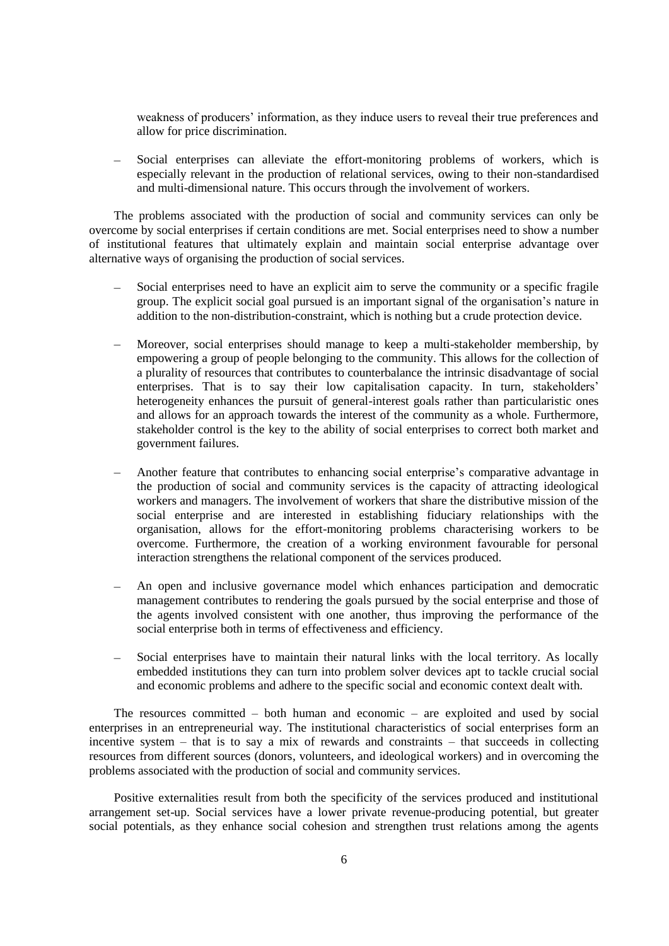weakness of producers' information, as they induce users to reveal their true preferences and allow for price discrimination.

Social enterprises can alleviate the effort-monitoring problems of workers, which is especially relevant in the production of relational services, owing to their non-standardised and multi-dimensional nature. This occurs through the involvement of workers.

The problems associated with the production of social and community services can only be overcome by social enterprises if certain conditions are met. Social enterprises need to show a number of institutional features that ultimately explain and maintain social enterprise advantage over alternative ways of organising the production of social services.

- Social enterprises need to have an explicit aim to serve the community or a specific fragile group. The explicit social goal pursued is an important signal of the organisation's nature in addition to the non-distribution-constraint, which is nothing but a crude protection device.
- Moreover, social enterprises should manage to keep a multi-stakeholder membership, by empowering a group of people belonging to the community. This allows for the collection of a plurality of resources that contributes to counterbalance the intrinsic disadvantage of social enterprises. That is to say their low capitalisation capacity. In turn, stakeholders' heterogeneity enhances the pursuit of general-interest goals rather than particularistic ones and allows for an approach towards the interest of the community as a whole. Furthermore, stakeholder control is the key to the ability of social enterprises to correct both market and government failures.
- Another feature that contributes to enhancing social enterprise's comparative advantage in the production of social and community services is the capacity of attracting ideological workers and managers. The involvement of workers that share the distributive mission of the social enterprise and are interested in establishing fiduciary relationships with the organisation, allows for the effort-monitoring problems characterising workers to be overcome. Furthermore, the creation of a working environment favourable for personal interaction strengthens the relational component of the services produced.
- An open and inclusive governance model which enhances participation and democratic management contributes to rendering the goals pursued by the social enterprise and those of the agents involved consistent with one another, thus improving the performance of the social enterprise both in terms of effectiveness and efficiency.
- Social enterprises have to maintain their natural links with the local territory. As locally embedded institutions they can turn into problem solver devices apt to tackle crucial social and economic problems and adhere to the specific social and economic context dealt with.

The resources committed – both human and economic – are exploited and used by social enterprises in an entrepreneurial way. The institutional characteristics of social enterprises form an incentive system – that is to say a mix of rewards and constraints – that succeeds in collecting resources from different sources (donors, volunteers, and ideological workers) and in overcoming the problems associated with the production of social and community services.

Positive externalities result from both the specificity of the services produced and institutional arrangement set-up. Social services have a lower private revenue-producing potential, but greater social potentials, as they enhance social cohesion and strengthen trust relations among the agents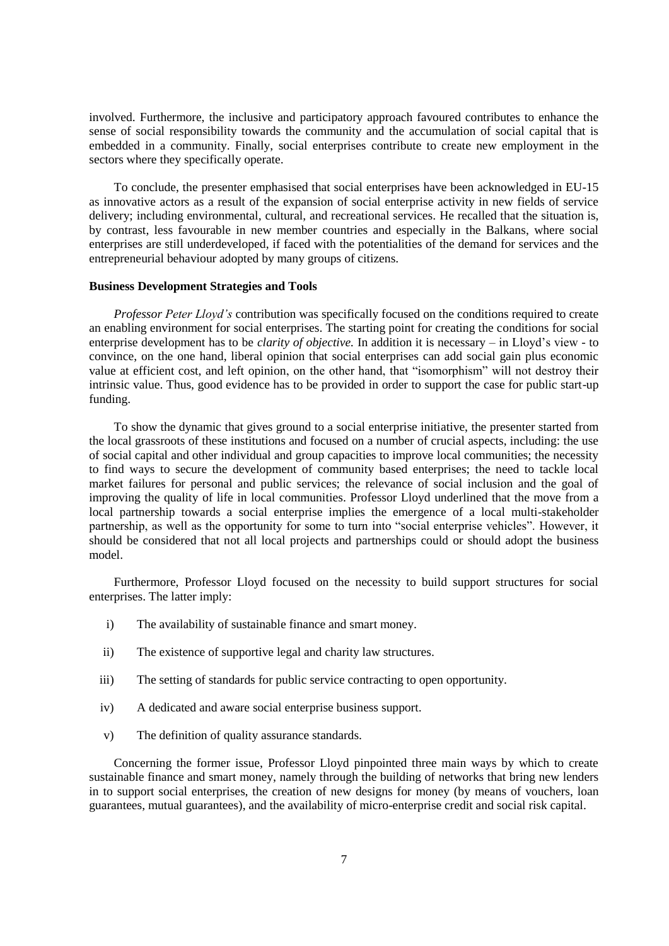involved. Furthermore, the inclusive and participatory approach favoured contributes to enhance the sense of social responsibility towards the community and the accumulation of social capital that is embedded in a community. Finally, social enterprises contribute to create new employment in the sectors where they specifically operate.

To conclude, the presenter emphasised that social enterprises have been acknowledged in EU-15 as innovative actors as a result of the expansion of social enterprise activity in new fields of service delivery; including environmental, cultural, and recreational services. He recalled that the situation is, by contrast, less favourable in new member countries and especially in the Balkans, where social enterprises are still underdeveloped, if faced with the potentialities of the demand for services and the entrepreneurial behaviour adopted by many groups of citizens.

#### **Business Development Strategies and Tools**

*Professor Peter Lloyd's* contribution was specifically focused on the conditions required to create an enabling environment for social enterprises. The starting point for creating the conditions for social enterprise development has to be *clarity of objective.* In addition it is necessary – in Lloyd's view - to convince, on the one hand, liberal opinion that social enterprises can add social gain plus economic value at efficient cost, and left opinion, on the other hand, that "isomorphism" will not destroy their intrinsic value. Thus, good evidence has to be provided in order to support the case for public start-up funding.

To show the dynamic that gives ground to a social enterprise initiative, the presenter started from the local grassroots of these institutions and focused on a number of crucial aspects, including: the use of social capital and other individual and group capacities to improve local communities; the necessity to find ways to secure the development of community based enterprises; the need to tackle local market failures for personal and public services; the relevance of social inclusion and the goal of improving the quality of life in local communities. Professor Lloyd underlined that the move from a local partnership towards a social enterprise implies the emergence of a local multi-stakeholder partnership, as well as the opportunity for some to turn into "social enterprise vehicles". However, it should be considered that not all local projects and partnerships could or should adopt the business model.

Furthermore, Professor Lloyd focused on the necessity to build support structures for social enterprises. The latter imply:

- i) The availability of sustainable finance and smart money.
- ii) The existence of supportive legal and charity law structures.
- iii) The setting of standards for public service contracting to open opportunity.
- iv) A dedicated and aware social enterprise business support.
- v) The definition of quality assurance standards.

Concerning the former issue, Professor Lloyd pinpointed three main ways by which to create sustainable finance and smart money, namely through the building of networks that bring new lenders in to support social enterprises, the creation of new designs for money (by means of vouchers, loan guarantees, mutual guarantees), and the availability of micro-enterprise credit and social risk capital.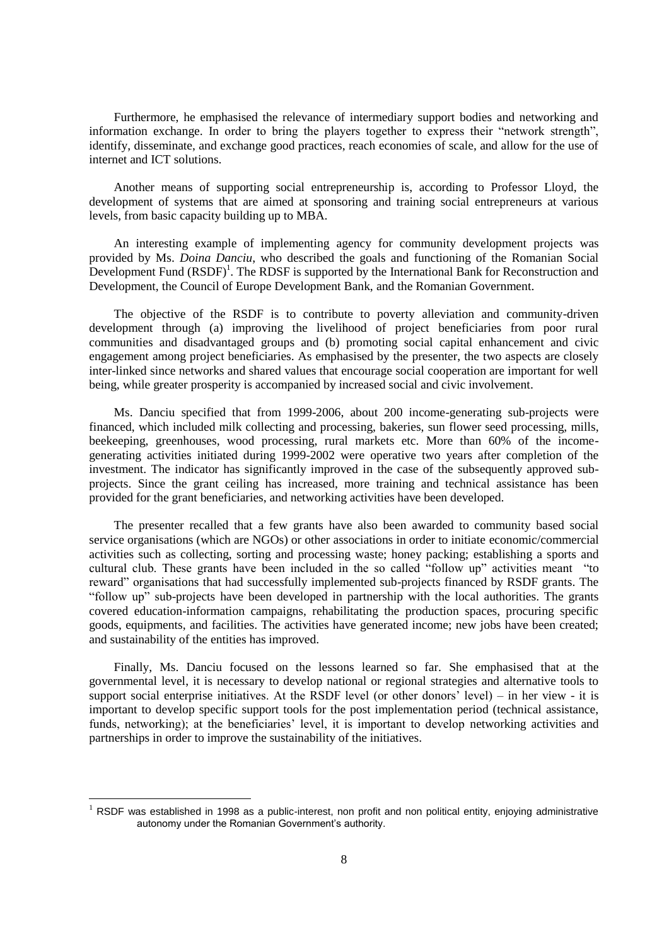Furthermore, he emphasised the relevance of intermediary support bodies and networking and information exchange. In order to bring the players together to express their "network strength", identify, disseminate, and exchange good practices, reach economies of scale, and allow for the use of internet and ICT solutions.

Another means of supporting social entrepreneurship is, according to Professor Lloyd, the development of systems that are aimed at sponsoring and training social entrepreneurs at various levels, from basic capacity building up to MBA.

An interesting example of implementing agency for community development projects was provided by Ms. *Doina Danciu*, who described the goals and functioning of the Romanian Social Development Fund  $(RSDF)^1$ . The RDSF is supported by the International Bank for Reconstruction and Development, the Council of Europe Development Bank, and the Romanian Government.

The objective of the RSDF is to contribute to poverty alleviation and community-driven development through (a) improving the livelihood of project beneficiaries from poor rural communities and disadvantaged groups and (b) promoting social capital enhancement and civic engagement among project beneficiaries. As emphasised by the presenter, the two aspects are closely inter-linked since networks and shared values that encourage social cooperation are important for well being, while greater prosperity is accompanied by increased social and civic involvement.

Ms. Danciu specified that from 1999-2006, about 200 income-generating sub-projects were financed, which included milk collecting and processing, bakeries, sun flower seed processing, mills, beekeeping, greenhouses, wood processing, rural markets etc. More than 60% of the incomegenerating activities initiated during 1999-2002 were operative two years after completion of the investment. The indicator has significantly improved in the case of the subsequently approved subprojects. Since the grant ceiling has increased, more training and technical assistance has been provided for the grant beneficiaries, and networking activities have been developed.

The presenter recalled that a few grants have also been awarded to community based social service organisations (which are NGOs) or other associations in order to initiate economic/commercial activities such as collecting, sorting and processing waste; honey packing; establishing a sports and cultural club. These grants have been included in the so called "follow up" activities meant "to reward" organisations that had successfully implemented sub-projects financed by RSDF grants. The "follow up" sub-projects have been developed in partnership with the local authorities. The grants covered education-information campaigns, rehabilitating the production spaces, procuring specific goods, equipments, and facilities. The activities have generated income; new jobs have been created; and sustainability of the entities has improved.

Finally, Ms. Danciu focused on the lessons learned so far. She emphasised that at the governmental level, it is necessary to develop national or regional strategies and alternative tools to support social enterprise initiatives. At the RSDF level (or other donors' level) – in her view - it is important to develop specific support tools for the post implementation period (technical assistance, funds, networking); at the beneficiaries' level, it is important to develop networking activities and partnerships in order to improve the sustainability of the initiatives.

l

 $1$  RSDF was established in 1998 as a public-interest, non profit and non political entity, enjoying administrative autonomy under the Romanian Government's authority.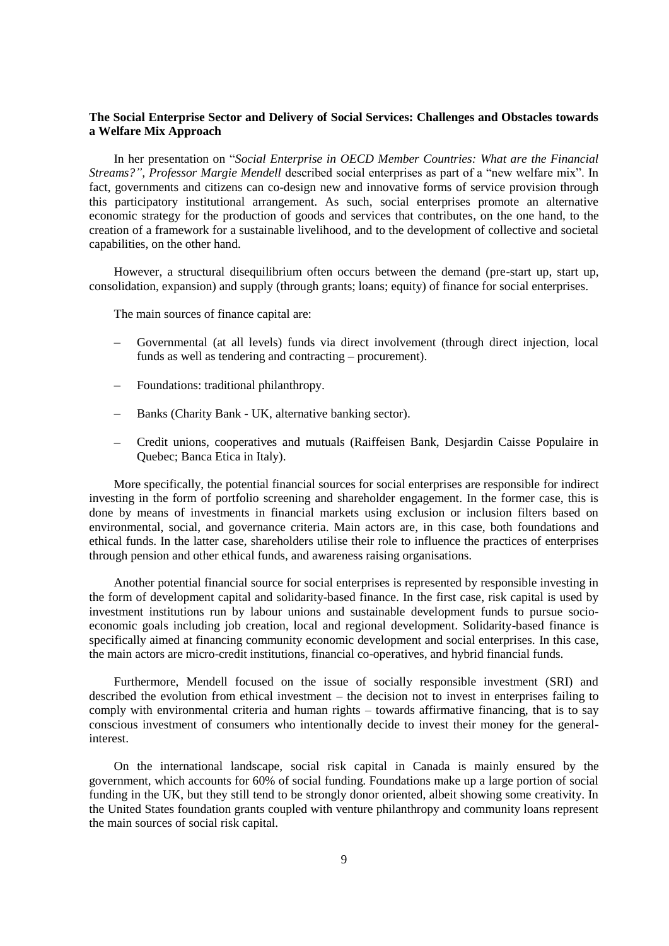# **The Social Enterprise Sector and Delivery of Social Services: Challenges and Obstacles towards a Welfare Mix Approach**

In her presentation on "*Social Enterprise in OECD Member Countries: What are the Financial Streams?", Professor Margie Mendell* described social enterprises as part of a "new welfare mix". In fact, governments and citizens can co-design new and innovative forms of service provision through this participatory institutional arrangement. As such, social enterprises promote an alternative economic strategy for the production of goods and services that contributes, on the one hand, to the creation of a framework for a sustainable livelihood, and to the development of collective and societal capabilities, on the other hand.

However, a structural disequilibrium often occurs between the demand (pre-start up, start up, consolidation, expansion) and supply (through grants; loans; equity) of finance for social enterprises.

The main sources of finance capital are:

- Governmental (at all levels) funds via direct involvement (through direct injection, local funds as well as tendering and contracting – procurement).
- Foundations: traditional philanthropy.  $\overline{\phantom{0}}$
- Banks (Charity Bank UK, alternative banking sector).
- Credit unions, cooperatives and mutuals (Raiffeisen Bank, Desjardin Caisse Populaire in Quebec; Banca Etica in Italy).

More specifically, the potential financial sources for social enterprises are responsible for indirect investing in the form of portfolio screening and shareholder engagement. In the former case, this is done by means of investments in financial markets using exclusion or inclusion filters based on environmental, social, and governance criteria. Main actors are, in this case, both foundations and ethical funds. In the latter case, shareholders utilise their role to influence the practices of enterprises through pension and other ethical funds, and awareness raising organisations.

Another potential financial source for social enterprises is represented by responsible investing in the form of development capital and solidarity-based finance. In the first case, risk capital is used by investment institutions run by labour unions and sustainable development funds to pursue socioeconomic goals including job creation, local and regional development. Solidarity-based finance is specifically aimed at financing community economic development and social enterprises. In this case, the main actors are micro-credit institutions, financial co-operatives, and hybrid financial funds.

Furthermore, Mendell focused on the issue of socially responsible investment (SRI) and described the evolution from ethical investment – the decision not to invest in enterprises failing to comply with environmental criteria and human rights – towards affirmative financing, that is to say conscious investment of consumers who intentionally decide to invest their money for the generalinterest.

On the international landscape, social risk capital in Canada is mainly ensured by the government, which accounts for 60% of social funding. Foundations make up a large portion of social funding in the UK, but they still tend to be strongly donor oriented, albeit showing some creativity. In the United States foundation grants coupled with venture philanthropy and community loans represent the main sources of social risk capital.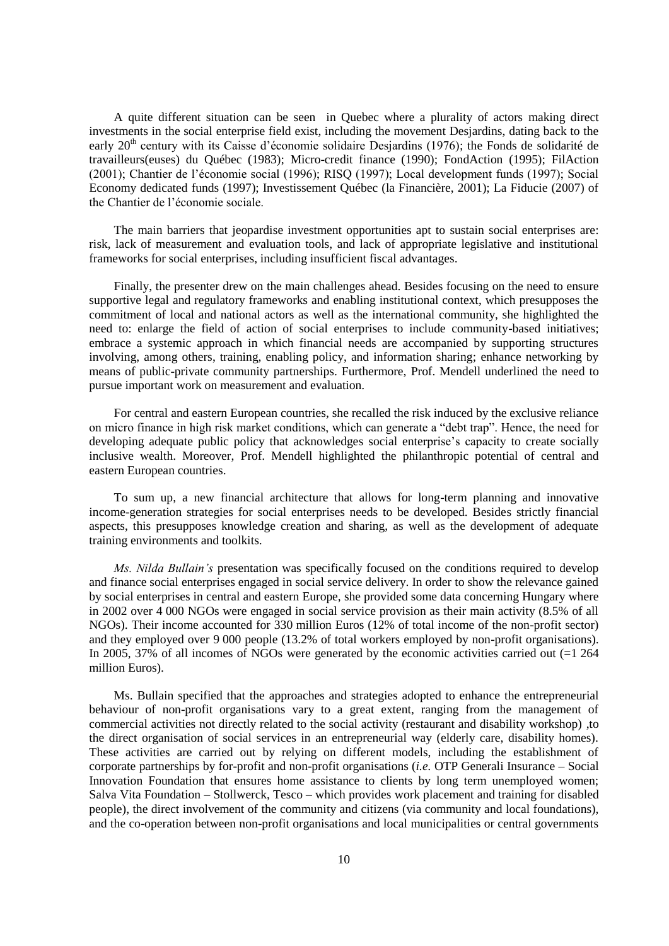A quite different situation can be seen in Quebec where a plurality of actors making direct investments in the social enterprise field exist, including the movement Desjardins, dating back to the early 20<sup>th</sup> century with its Caisse d'économie solidaire Desjardins (1976); the Fonds de solidarité de travailleurs(euses) du Québec (1983); Micro-credit finance (1990); FondAction (1995); FilAction (2001); Chantier de l'économie social (1996); RISQ (1997); Local development funds (1997); Social Economy dedicated funds (1997); Investissement Québec (la Financière, 2001); La Fiducie (2007) of the Chantier de l'économie sociale.

The main barriers that jeopardise investment opportunities apt to sustain social enterprises are: risk, lack of measurement and evaluation tools, and lack of appropriate legislative and institutional frameworks for social enterprises, including insufficient fiscal advantages.

Finally, the presenter drew on the main challenges ahead. Besides focusing on the need to ensure supportive legal and regulatory frameworks and enabling institutional context, which presupposes the commitment of local and national actors as well as the international community, she highlighted the need to: enlarge the field of action of social enterprises to include community-based initiatives; embrace a systemic approach in which financial needs are accompanied by supporting structures involving, among others, training, enabling policy, and information sharing; enhance networking by means of public-private community partnerships. Furthermore, Prof. Mendell underlined the need to pursue important work on measurement and evaluation.

For central and eastern European countries, she recalled the risk induced by the exclusive reliance on micro finance in high risk market conditions, which can generate a "debt trap". Hence, the need for developing adequate public policy that acknowledges social enterprise's capacity to create socially inclusive wealth. Moreover, Prof. Mendell highlighted the philanthropic potential of central and eastern European countries.

To sum up, a new financial architecture that allows for long-term planning and innovative income-generation strategies for social enterprises needs to be developed. Besides strictly financial aspects, this presupposes knowledge creation and sharing, as well as the development of adequate training environments and toolkits.

*Ms. Nilda Bullain's* presentation was specifically focused on the conditions required to develop and finance social enterprises engaged in social service delivery. In order to show the relevance gained by social enterprises in central and eastern Europe, she provided some data concerning Hungary where in 2002 over 4 000 NGOs were engaged in social service provision as their main activity (8.5% of all NGOs). Their income accounted for 330 million Euros (12% of total income of the non-profit sector) and they employed over 9 000 people (13.2% of total workers employed by non-profit organisations). In 2005, 37% of all incomes of NGOs were generated by the economic activities carried out (=1 264 million Euros).

Ms. Bullain specified that the approaches and strategies adopted to enhance the entrepreneurial behaviour of non-profit organisations vary to a great extent, ranging from the management of commercial activities not directly related to the social activity (restaurant and disability workshop) ,to the direct organisation of social services in an entrepreneurial way (elderly care, disability homes). These activities are carried out by relying on different models, including the establishment of corporate partnerships by for-profit and non-profit organisations (*i.e.* OTP Generali Insurance – Social Innovation Foundation that ensures home assistance to clients by long term unemployed women; Salva Vita Foundation – Stollwerck, Tesco – which provides work placement and training for disabled people), the direct involvement of the community and citizens (via community and local foundations), and the co-operation between non-profit organisations and local municipalities or central governments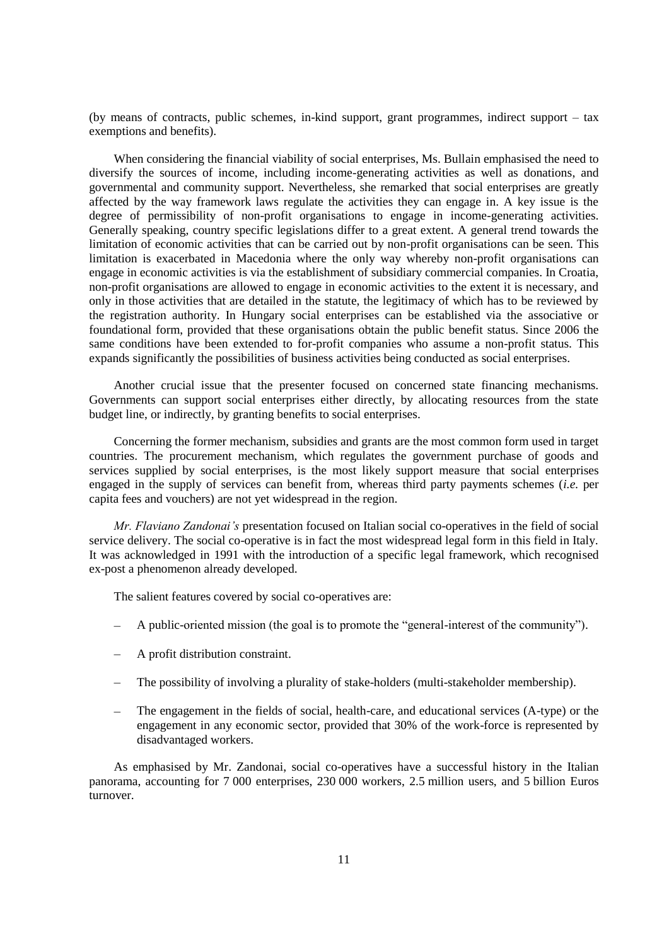(by means of contracts, public schemes, in-kind support, grant programmes, indirect support – tax exemptions and benefits).

When considering the financial viability of social enterprises, Ms. Bullain emphasised the need to diversify the sources of income, including income-generating activities as well as donations, and governmental and community support. Nevertheless, she remarked that social enterprises are greatly affected by the way framework laws regulate the activities they can engage in. A key issue is the degree of permissibility of non-profit organisations to engage in income-generating activities. Generally speaking, country specific legislations differ to a great extent. A general trend towards the limitation of economic activities that can be carried out by non-profit organisations can be seen. This limitation is exacerbated in Macedonia where the only way whereby non-profit organisations can engage in economic activities is via the establishment of subsidiary commercial companies. In Croatia, non-profit organisations are allowed to engage in economic activities to the extent it is necessary, and only in those activities that are detailed in the statute, the legitimacy of which has to be reviewed by the registration authority. In Hungary social enterprises can be established via the associative or foundational form, provided that these organisations obtain the public benefit status. Since 2006 the same conditions have been extended to for-profit companies who assume a non-profit status. This expands significantly the possibilities of business activities being conducted as social enterprises.

Another crucial issue that the presenter focused on concerned state financing mechanisms. Governments can support social enterprises either directly, by allocating resources from the state budget line, or indirectly, by granting benefits to social enterprises.

Concerning the former mechanism, subsidies and grants are the most common form used in target countries. The procurement mechanism, which regulates the government purchase of goods and services supplied by social enterprises, is the most likely support measure that social enterprises engaged in the supply of services can benefit from, whereas third party payments schemes (*i.e.* per capita fees and vouchers) are not yet widespread in the region.

*Mr. Flaviano Zandonai's* presentation focused on Italian social co-operatives in the field of social service delivery. The social co-operative is in fact the most widespread legal form in this field in Italy. It was acknowledged in 1991 with the introduction of a specific legal framework, which recognised ex-post a phenomenon already developed.

The salient features covered by social co-operatives are:

- A public-oriented mission (the goal is to promote the "general-interest of the community").
- A profit distribution constraint.
- The possibility of involving a plurality of stake-holders (multi-stakeholder membership).
- The engagement in the fields of social, health-care, and educational services (A-type) or the engagement in any economic sector, provided that 30% of the work-force is represented by disadvantaged workers.

As emphasised by Mr. Zandonai, social co-operatives have a successful history in the Italian panorama, accounting for 7 000 enterprises, 230 000 workers, 2.5 million users, and 5 billion Euros turnover.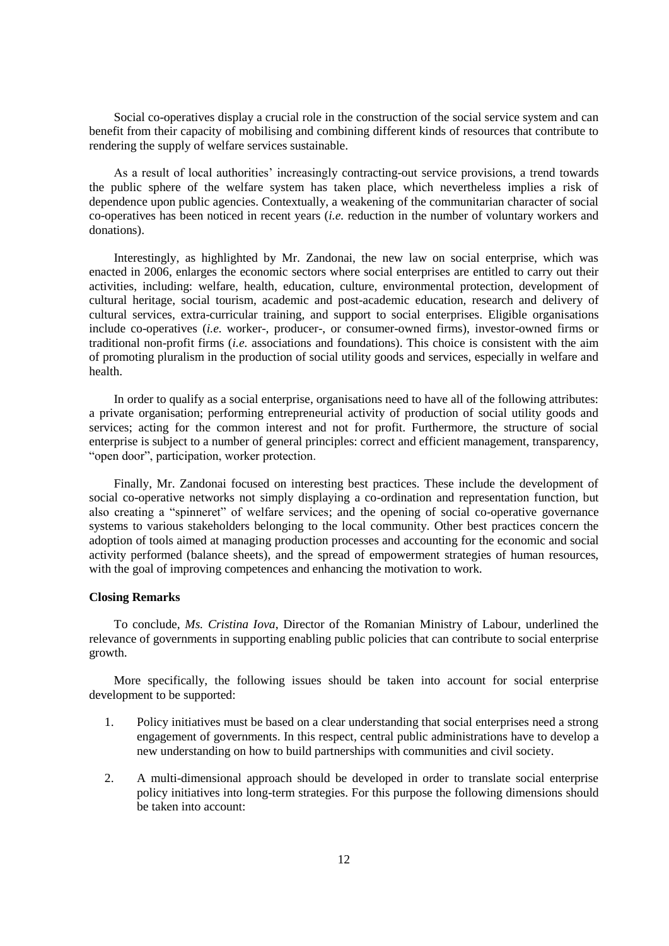Social co-operatives display a crucial role in the construction of the social service system and can benefit from their capacity of mobilising and combining different kinds of resources that contribute to rendering the supply of welfare services sustainable.

As a result of local authorities' increasingly contracting-out service provisions, a trend towards the public sphere of the welfare system has taken place, which nevertheless implies a risk of dependence upon public agencies. Contextually, a weakening of the communitarian character of social co-operatives has been noticed in recent years (*i.e.* reduction in the number of voluntary workers and donations).

Interestingly, as highlighted by Mr. Zandonai, the new law on social enterprise, which was enacted in 2006, enlarges the economic sectors where social enterprises are entitled to carry out their activities, including: welfare, health, education, culture, environmental protection, development of cultural heritage, social tourism, academic and post-academic education, research and delivery of cultural services, extra-curricular training, and support to social enterprises. Eligible organisations include co-operatives (*i.e.* worker-, producer-, or consumer-owned firms), investor-owned firms or traditional non-profit firms (*i.e.* associations and foundations). This choice is consistent with the aim of promoting pluralism in the production of social utility goods and services, especially in welfare and health.

In order to qualify as a social enterprise, organisations need to have all of the following attributes: a private organisation; performing entrepreneurial activity of production of social utility goods and services; acting for the common interest and not for profit. Furthermore, the structure of social enterprise is subject to a number of general principles: correct and efficient management, transparency, "open door", participation, worker protection.

Finally, Mr. Zandonai focused on interesting best practices. These include the development of social co-operative networks not simply displaying a co-ordination and representation function, but also creating a "spinneret" of welfare services; and the opening of social co-operative governance systems to various stakeholders belonging to the local community. Other best practices concern the adoption of tools aimed at managing production processes and accounting for the economic and social activity performed (balance sheets), and the spread of empowerment strategies of human resources, with the goal of improving competences and enhancing the motivation to work.

# **Closing Remarks**

To conclude, *Ms. Cristina Iova*, Director of the Romanian Ministry of Labour, underlined the relevance of governments in supporting enabling public policies that can contribute to social enterprise growth.

More specifically, the following issues should be taken into account for social enterprise development to be supported:

- 1. Policy initiatives must be based on a clear understanding that social enterprises need a strong engagement of governments. In this respect, central public administrations have to develop a new understanding on how to build partnerships with communities and civil society.
- 2. A multi-dimensional approach should be developed in order to translate social enterprise policy initiatives into long-term strategies. For this purpose the following dimensions should be taken into account: